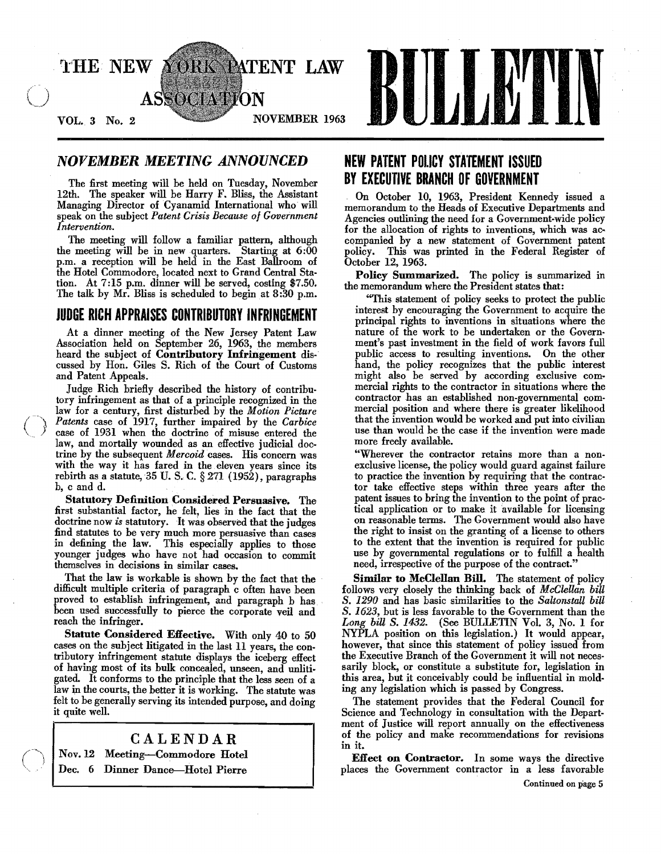

# **NOVEMBER MEETING ANNOUNCED**

The first meeting will be held on Tuesday. November 12th. The speaker will be Harry F. Bliss, the Assistant Managing Director of Cyanamid International who will speak on the subject *Patent Crisis Because of Government Intervention.* 

The meeting will follow a familiar pattern. although the meeting will be in new quarters. Starting at 6:00 p.m. a reception will be held in the East Ballroom of the Hotel Commodore. located next to Grand Central Station. At 7 :15 p.m. dinner will be served. costing \$7.50. The talk by Mr. Bliss is scheduled to begin at 8:30 p.m.

# **JUDGE RICH APPRAISES CONTRIBUTORY INFRINGEMENT**

At a dinner meeting of the New Jersey Patent Law Association held on September 26. 1963. the members heard the subject of Contributory Infringement discussed by Hon. Giles S. Rich of the Court of Customs and Patent Appeals.

Judge Rich briefly described the history of contributory infringement as that of a principle recognized in the law for a century. first disturbed by the *Motion Picture Patents* case of 1917. further impaired by the *Carbice*  case of 1931 when the doctrine of misuse entered the law, and mortally wounded as an effective judicial doctrine by the subsequent *Mercoid* cases. His concern was with the way it has fared in the eleven years since its rebirth as a statute, 35 U. S. C.  $\S 271$  (1952), paragraphs b, c and d.

Statutory Definition Considered Persuasive. The first substantial factor, he felt. lies in the fact that the doctrine now *is* statutory. It was observed that the judges :find statutes to be very much more persuasive than cases in defining the law. This especially applies to those younger judges who have not had occasion to commit themselves in decisions in similar cases.

That the law is workable is shown by the fact that the difficult multiple criteria of paragraph c often have been proved to establish infringement, and paragraph b has. been used successfully to pierce the corporate veil and reach the infringer.

Statute Considered Effective. With only 40 to 50 cases on the subject litigated in the last 11 years, the con. tributory infringement statute displays the iceberg effect of having most of its bulk concealed. unseen. and unlitigated. It conforms to the principle that the less seen of a law in the courts, the better it is working. The statute was felt to be generally serving its intended purpose, and doing it quite well.

# CALENDAR

Nov. 12 Meeting-Commodore Hotel Dec. 6 Dinner Dance---Hotel Pierre

# **NEW PATENT POLICY STATEMENT ISSUED BY EXECUTIVE BRANCH OF GOVERNMENT**

. On October 10. 1963. President Kennedy issued a memorandum to the Heads of Executive Departments and Agencies outlining the need for a Government-wide policy for the allocation of rights to inventions, which was accompanied by a new statement of Government patent policy. This was printed in the Federal Register of October 12, 1963.

Policy Summarized. The policy is summarized in the memorandum where the President states that:

''This statement of policy seeks to protect the public interest by encouraging the Government to acquire the principal rights to inventions in situations where the nature of the work to be undertaken or the Govern· ment's past investment in the field of work favors full public access to resulting inventions. On the other hand, the policy recognizes that the public interest might also be served by according exclusive com· mercial rights to the contractor in situations where the contractor has an established non.governmental com· mercial position and where there is greater likelihood that the invention would be worked and put into civilian use than would be the case if the invention were made more freely available.

"Wherever the contractor retains more than a non· exclusive license, the policy would guard against failure to practice the invention by requiring that the contrac· tor take effective steps within three years after the patent issues to bring the invention to the point of practical application or to make it available for licensing on reasonable terms. The Government would also have the right to insist on the granting of a license to others to the extent that the invention is required for public use by governmental regulations or to fulfill a health need, irrespective of the purpose of the contract."

Similar to McClellan Bill. The statement of policy follows very closely the thinking back of *McClellan biU*  S. *1290* and has basic similarities to the *SaltonstaU biU*  S. 1623, but is less favorable to the Government than the *Long biU* S. 1432. (See BULLETIN Vol. 3, No.1 for NYPLA position on this legislation.) It would appear, however, that since this statement of policy issued from the Executive Branch of the Government it will not necessarily block, or constitute a substitute for, legislation in this area, but it conceivably could be influential in molding any legislation which is passed by Congress.

The statement provides that the Federal Council for Science and Technology in consultation with the Depart. ment of Justice will report annually on the effectiveness of the policy and make recommendations for revisions in it.

Effect on Contractor. In some ways the directive places the Government contractor in a less favorable

Continued on page 5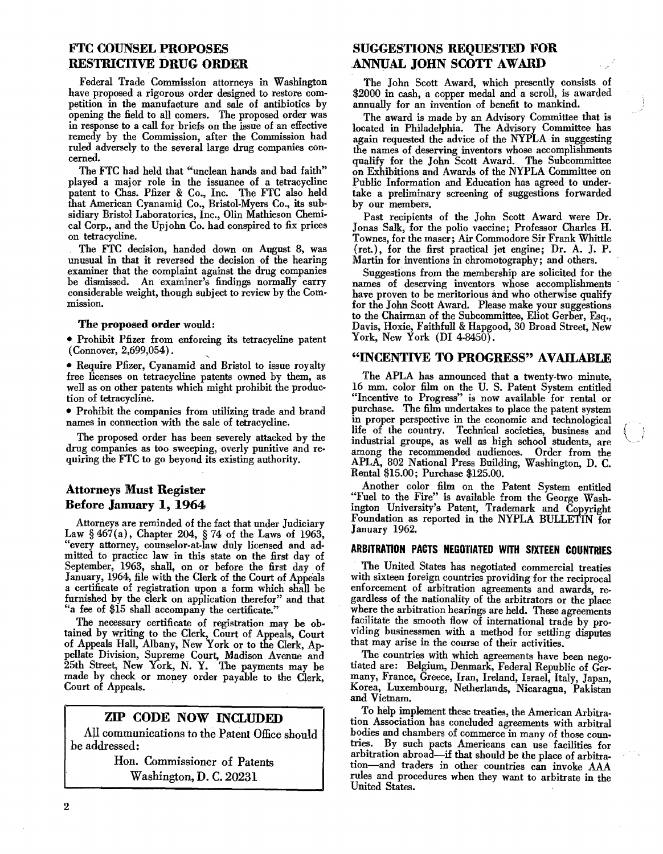# FfC COUNSEL PROPOSES RESTRICTIvE DRUG ORDER

Federal Trade Commission attorneys in Washington have proposed a rigorous order designed to restore competition in the manufacture and sale of antibiotics by opening the field to all comers. The proposed order was in response to a call for briefs on the issue of an effective remedy by the Commission, after the Commission had ruled adversely to the several large drug companies concerned.

The FTC had held that "unclean hands and bad faith" played a major role in the issuance of a tetracycline patent to Chas. Pfizer & Co., Inc. The FTC also held that American Cyanamid Co., Bristol-Myers Co., its subsidiary Bristol Laboratories, Inc., Olin Mathieson Chemical Corp., and the Upjohn Co. had conspired to fix prices on tetracycline.

The FTC decision, handed down on August 8, was unusual in that it reversed the decision of the hearing examiner that the complaint against the drug companies be dismissed. An examiner's findings normally carry considerable weight, though subject to review by the Commission.

#### The proposed order would:

• Prohibit Pfizer from enforcing its tetracycline patent  $(Connect, 2,699,054)$ .

• Require Pfizer, Cyanamid and Bristol to issue royalty free licenses on tetracycline patents owned by them, as well as on other patents which might prohibit the production of tetracycline.

• Prohibit the companies from utilizing trade and brand names in connection with the sale of tetracycline.

The proposed order has been severely attacked by the drug companies as too sweeping, overly punitive and requiring the FTC to go beyond its existing authority.

## Attorneys Must Register Before January 1, 1964

Attorneys are reminded of the fact that under Judiciary Law § 467(a), Chapter 204, § 74 of the Laws of 1963, "every attorney, counselor-at·law duly licensed and admitted to practice law in this state on the first day of September, 1963, shall, on or before the first day of January, 1964, file with the Clerk of the Court of Appeals a certificate of registration upon a form which shall be furnished by the clerk on application therefor" and that "a fee of \$15 shall accompany the certificate."

The necessary certificate of registration may be ob· tained by writing to the Clerk, Court of Appeals, Court of Appeals Hall, Albany, New York or to the Clerk, Appellate Division, S\_upreme Court, Madison Avenue and 25th Street, New York, N. Y. The payments may be made by check or money order payable to the Clerk, Court of Appeals.

## ZIP CODE NOW INCLUDED

All communications to the Patent Office should be addressed:

> Hon. Commissioner of Patents Washington, D. C. 20231

# SUGGESTIONS REQUESTED FOR ANNUAL JOHN SCOTT AWARD

The John Scott Award, which presently consists of \$2000 in cash, a copper medal and a scroll, is awarded annually for an invention of benefit to mankind.

The award is made by an Advisory Committee that is located in Philadelphia. The Advisory Committee has again requested the advice of the NYPLA in suggesting the names of deserving inventors whose accomplishments qualify for the John Scott Award. The Subcommittee on Exhibitions and Awards of the NYPLA Committee on Public Information and Education has agreed to under· take a preliminary screening of suggestions forwarded by our members.

Past recipients of the John Scott Award were Dr. Jonas Salk, for the polio vaccine; Professor Charles H. Townes, for the maser; Air Commodore Sir Frank Whittle (ret.), for the first practical jet engine; Dr. A. J. P. Martin for inventions in chromotography; and others.

Suggestions from the membership are solicited for the names of deserving inventors whose accomplishments have proven to be meritorious and who otherwise qualify for the John Scott Award. Please make your suggestions to the Chairman of the Subcommittee, Eliot Gerber, Esq., Davis, Hoxie, Faithfull & Hapgood, 30 Broad Street, New York, New York (DI 4-8450).

### "INCENTIVE TO PROGRESS" AVAILABLE

The APLA has announced that a twenty·two minute, 16 mm. color film on the U. S. Patent System entitled "Incentive to Progress" is now available for rental or purchase. The film undertakes to place the patent system in proper perspective in the economic and technological life of the country. Technical societies, business and industrial groups, as well as high school students, are among the recommended audiences. Order from the APLA, 802 National Press Building, Washington, D. C. Rental \$15.00; Purchase \$125.00.

Another color film on the Patent System entitled "Fuel to the Fire" is available from the George Wash. ington University's Patent, Trademark and Copyright Foundation as reported in the NYPLA BULLETIN for January 1962.

#### ARBITRATION PACTS NEGOIIATED WITH SIXIEEN COUNTRIES

The United States has negotiated commercial treaties with sixteen foreign countries providing for the reciprocal enforcement of arbitration agreements and awards, regardless of the nationality of the arbitrators or the place where the arbitration hearings are held. These agreements facilitate the smooth flow of international trade by providing businessmen with a method for settling disputes that may arise in the course of their activities.

The countries with which agreements have been negotiated are: Belgium, Denmark, Federal Republic of Germany, France, Greece, Iran, Ireland, Israel, Italy, Japan, Korea, Luxembourg, Netherlands, Nicaragua, Pakistan and Vietnam.

To help implement these treaties, the American Arbitration Association has concluded agreements with arbitral bodies and chambers of commerce in many of those countries. By such pacts Americans can use facilities for arbitration abroad-if that should be the place of arbitration-and traders in other countries can invoke AAA rules and procedures when they want to arbitrate in the United States. .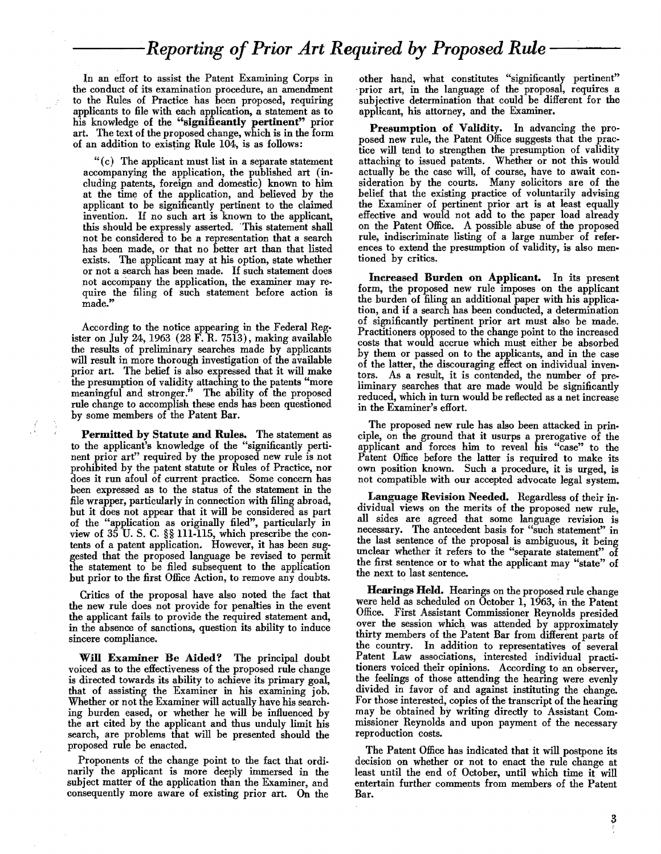# *---Reporting ofPrior Art Required* by *Proposed Rule* --

In an effort to assist the Patent Examining Corps in the conduct of its examination procedure, an amendment to the Rules of Practice has been proposed, requiring applicants to file with each application, a statement as to his knowledge of the "significantly pertinent" prior art. The text of the proposed change, which is in the form of an addition to existing Rule 104, is as follows:

"(c) The applicant must list in a separate statement accompanying the application, the published art (including patents, foreign and domestic) known to him at the time of the application, and believed by the applicant to be significantly pertinent to the claimed invention. If no such art is known to the applicant, this should be expressly asserted. This statement shall not be considered to be a representation that a search has been made, or that no better art than that listed exists. The applicant may at his option, state whether or not a search has been made. If such statement does not accompany the application, the examiner may require the filing of such statement before action is made."

According to the notice appearing in the Federal Register on July 24, 1963 (28 F. R. 7513), making available the results of preliminary searches made by applicants will result in more thorough investigation of the available prior art. The belief is also expressed that it will make the presumption of validity attaching to the patents "more meaningful and stronger." The ability of the proposed rule change to accomplish these ends has been questioned by some members of the Patent Bar.

Permitted by Statute and Rules. The statement as to the applicant's knowledge of the "significantly pertinent prior art" required by the proposed new rule is not prohibited by the patent statute or Rules of Practice, nor does it run afoul of current practice. Some concern has been expressed as to the status of the statement in the file wrapper, particularly in connection with filing abroad, but it does not appear that it will be considered as part of the "application as originally filed", particularly in view of 35 U. S. C. §§ 111-115, which prescribe the contents of a patent application. However, it has been suggested that the proposed language be revised to permit the statement to be filed subsequent to the application but prior to the first Office Action, to remove any doubts.

Critics of the proposal have also noted the fact that the new rule does not provide for penalties in the event the applicant fails to provide the required statement and, in the absence of sanctions, question its ability to induce sincere compliance.

Will Examiner Be Aided? The principal doubt voiced as to the effectiveness of the proposed rule change is directed towards its ability to achieve its primary goal, that of assisting the Examiner in his examining job. Whether or not the Examiner will actually have his searching burden eased, or whether he will be influenced by the art cited by the applicant and thus unduly limit his search, are problems that will be presented should the proposed rule be enacted.

Proponents of the change point to the fact that ordinarily the applicant is more deeply immersed in the subject matter of the application than the Examiner, and consequently more aware of existing prior art. On the

other hand, what constitutes "significantly pertinent" prior art, in the language of the proposal, requires a subjective determination that could be different for the applicant, his attorney, and the Examiner.

Presumption of Validity. In advancing the proposed new rule, the Patent Office suggests that the practice will tend to strengthen the presumption of validity attaching to issued patents. Whether or not this would actually be the case will, of course, have to await consideration by the courts. Many solicitors are of the belief that the existing practice of voluntarily advising the Examiner of pertinent prior art is at least equally effective and would not add to the paper load already on the Patent Office. A possible abuse of the proposed rule, indiscriminate listing of a large number of references to extend the presumption of validity, is also mentioned by critics.

Increased Burden on Applicant. In its present form, the proposed new rule imposes on the applicant the burden of filing an additional paper with his application, and if a search has been conducted, a determination of significantly pertinent prior art must also be made. Practitioners opposed to the change point to the increased costs that would accrue which must either be absorbed by them or passed on to the applicants, and in the case of the latter, the discouraging effect on individual inventors. As a result, it is contended, the number of preliminary searches that are made would be significantly reduced, which in turn would be reflected as a net increase in the Examiner's effort.

The proposed new rule has also been attacked in principle, on the ground that it usurps a prerogative of the applicant and forces him to reveal his "case" to the Patent Office before the latter is required to make its own position known. Such a procedure, it is urged, is not compatible with our accepted advocate legal system.

Language Revision Needed. Regardless of their individual views on the merits of the proposed new rule, all sides are agreed that some language revision is necessary. The antecedent basis for "such statement" in the last sentence of the proposal is ambiguous, it being unclear whether it refers to the "separate statement" of the first sentence or to what the applicant may "state" of the next to last sentence.

Hearings Held. Hearings on the proposed rule change were held as scheduled on October 1, 1963, in the Patent Office. First Assistant Commissioner Reynolds presided over the session which, was attended by approximately thirty members of the Patent Bar from different parts of the country. In addition to representatives of several Patent Law associations, interested individual practitioners voiced their opinions. According to an observer, the feelings of those attending the hearing were evenly divided in favor of and against instituting the change. For those interested, copies of the transcript of the hearing may be obtained by writing directly to Assistant Commissioner Reynolds and upon payment of the necessary reproduction costs.

The Patent Office has indicated that it will postpone its decision on whether or not to enact the rule change at least until the end of October, until which time it will entertain further comments from members of the Patent Bar.

 $\boldsymbol{3}$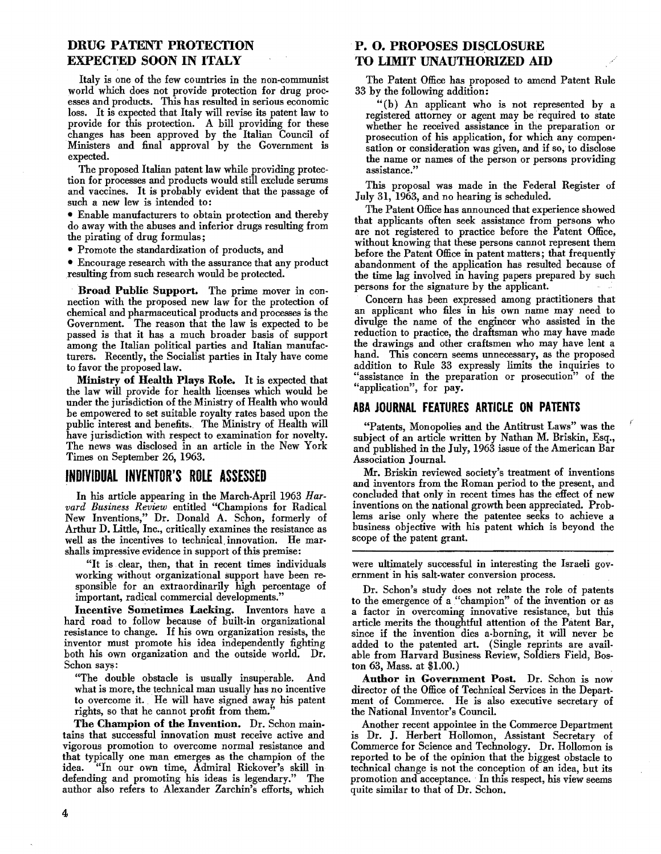# DRUG PATENT PROTECTION EXPECTED SOON IN ITALY

Italy is one of the few countries in the non-communist world which does not provide protection for drug processes and products. This has resulted in serious economic loss. It is expected that Italy will revise its patent law to provide for this protection. A bill providing for these changes has been approved by the Italian Council of Ministers and final approval by the Government is expected.

The proposed Italian patent law while providing protection for processes and products would exclude serums and vaccines. It is probably evident that the passage of such a new lew is intended to:

• Enable manufacturers to obtain protection and thereby do away with the abuses and inferior drugs resulting from the pirating of drug formulas;

• Promote the standardization of products, and

• Encourage research with the assurance that any product resulting from such research would be protected.

. Broad Public Support. The prime mover in connection with the proposed new law for the protection of chemical and pharmaceutical products and processes is the Government. The reason that the law is expected to be passed is that it has a much broader basis of support among the Italian political parties and Italian manufacturers. Recently, the Socialist parties in Italy have come to favor the proposed law.

Ministry of Health Plays Role. It is expected that the law will provide for health licenses which would be under the jurisdiction of the Ministry of Health who would be empowered to set suitable royalty rates based upon the public interest and benefits. The Ministry of Health will have jurisdiction with respect to examination for novelty. The news was disclosed in an article in the New York Times on September 26, 1963.

# INDIVIDUAL INVENTOR'S ROLE ASSESSED

In his article appearing in the March-April 1963 *Harvard Business Review* entitled "Champions for Radical New Inventions," Dr. Donald A. Schon, formerly of Arthur D. Little, Inc., critically examines the resistance as well as the incentives to technical, innovation. He mar· shalls impressive evidence in support of this premise:

"It is. clear, then, that in recent times individuals working without organizational support have been responsible for an extraordinarily high percentage of important, radical commercial developments."

Incentive Sometimes Lacking. Inventors have a hard road to follow because of built-in organizational resistance to change. If his own organization resists, the inventor must promote his idea independently fighting both his own organization and the outside world. Dr. Schon says:

"The double obstacle is usually insuperable. And what is more, the technical man usually has no incentive to overcome it. He will have signed away his patent rights, so that he cannot profit from them.

The Champion of the Invention. Dr. Schon maintains that successful innovation must receive active and vigorous promotion to overcome normal resistance and that typically one man emerges as the champion of the idea. "In our own time, Admiral Rickover's skill in defending and promoting his ideas is legendary." The author also refers to Alexander Zarchin's efforts, which

# .P. O. PROPOSES DISCLOSURE TO LIMIT UNAUTHORIZED AID

The Patent Office has proposed to amend Patent Rule 33 by the following addition:

"(b) An applicant who is not represented by a registered attorney or agent may be required to state whether he received assistance in the preparation or prosecution of his application, for which any compensation or consideration was given, and if so, to disclose the name or names of the person or persons providing assistance."

This proposal was made in the Federal Register of July 31, 1963, and no hearing is scheduled.

The Patent Office has announced that experience showed that applicants often seek assistance from persons who are not registered to practice before the Patent Office, without knowing that these persons cannot represent them before the Patent Office in patent matters; that frequently abandonment of the application has resulted because of the time lag involved in having papers prepared by such persons for the signature by the applicant.

Concern has been expressed among practitioners that an applicant who files in his own name may need to divulge the name of the engineer who assisted in the reduction to practice, the draftsman who may have made the drawings and other craftsmen who may have lent a hand. This concern seems unnecessary, as the proposed addition to Rule 33 expressly limits the inquiries to "assistance in the preparation or prosecution" of the "application", for pay.

### ABA JOURNAL FEATURES ARTICLE ON PATENTS

"Patents, Monopolies and the Antitrust Laws" was the subject of an article written by Nathan M. Briskin, Esq., and published in the July, 1963 issue of the American Bar Association JournaL

Mr. Briskin reviewed society's treatment of inventions and inventors from the Roman period to the present, and concluded that only in recent times has the effect of new inventions on the national growth been appreciated. Problems arise only where the patentee seeks to achieve a business objective with his patent which is beyond the scope of the patent grant.

were ultimately successful in interesting the Israeli gov .ernment'in his salt-water conversion process.

Dr. Schon's study does not relate the role of patents to the emergence of a "champion" of the invention or as a factor in overcoming innovative resistance, but this article merits the thoughtful attention of the Patent Bar, since if the invention dies a.borning, it will never be added to the patented art. (Single reprints are avail· able from Harvard Business Review, Soldiers Field, Boston 63, Mass. at \$1.00.)

Author in Government Post. Dr. Schon is now director of the Office of Technical Services in the Department of Commerce. He is also executive secretary of the National Inventor's Council.

Another recent appointee in the Commerce Department is Dr. J. Herbert Hollomon, Assistant Secretary of Commerce for Science and Technology. Dr. Hollomon is reported to be of the opinion that the biggest ohstacle to technical change is not the conception of an idea, but its promotion and acceptance. In this respect, his view seems quite similar to that of Dr. Schon.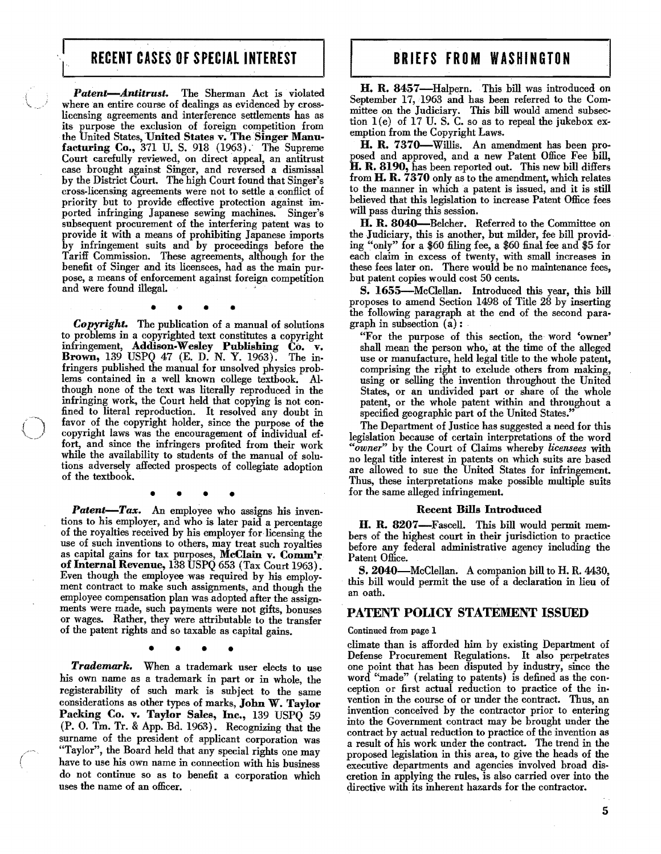# RECENT CASES OF SPECIAL INTEREST **BRIEFS FROM WASHINGTON**

Patent-Antitrust. The Sherman Act is violated where an entire course of dealings as evidenced by crosslicensing agreements and interference settlements has as its purpose the exclusion of foreign competition from the United States, United States v. The Singer Manufacturing Co., 371 U. S. 918 (1963): The Supreme Court carefully reviewed, on direct appeal, an antitrust case brought against Singer, and reversed a dismissal by the District Court. The high Court found that Singer's cross-licensing agreements were not to settle a conflict of priority but to provide effective protection against imported infringing Japanese sewing machines. Singer's subsequent procurement of the interfering patent was to provide it with a means of prohibiting Japanese imports by infringement suits and by proceedings before the Tariff Commission. These agreements, although for the benefit of Singer and its licensees, had as the main purpose, a means of enforcement against foreign competition and were found illegal

• • • •

*Copyright.* The publication of a manual of solntions to problems in a copyrighted text constitutes a copyright infringement, Addison-Wesley Publishing Co. v. Brown, 139 USPQ 47 (E. D. N. Y. 1963). The infringers published the manual for unsolved physics prob. lems contained in a well known college textbook. AI· though none of the text was literally reproduced in the infringing work, the Court held that copying is not confined to literal reproduction. It resolved any doubt in favor of the copyright holder, since the purpose of the copyright laws was the encouragement of individual ef. fort, and since the infringers profited from their work while the availability to students of the manual of solutions adversely affected prospects of collegiate adoption of the textbook.

• • • •

Patent-Tax. An employee who assigns his inventions to his employer, and who is later paid a percentage of the royalties received by his employer for licensing the use of such inventions to others, may treat such royalties as capital gains for tax purposes, McClain v. Comm'r of Internal Revenue, 138 USPQ 653 (Tax Court 1963) • Even though the employee was required by his employ. ment contract to make such assignments, and though the employee compensation plan was adopted after the assign. ments were made, such payments were not gifts, bonuses or wages. Rather, they were attributable to the transfer of the patent rights and so taxable as capital gains.

• • • •

*Trademark.* When a trademark user elects to use his own name as a trademark in part or in whole, the registerability of such mark is subject to the same considerations as other types of marks, John W. Taylor Packing Co. v. Taylor Sales, Inc., 139 USPQ 59 (P. O. Tm. Tr. & App. Bd. 1963). Recognizing that the surname of the president of applicant corporation was "Taylor", the Board held that any special rights one may have to use his own name in connection with his business do not continue so as to benefit a corporation which uses the name of an officer.

H. R. 8457-Halpern. This bill was introduced on September 17,1963 and has been referred to the Com· mittee on the Judiciary. This bill would amend subsection  $1(e)$  of 17 U.S.C. so as to repeal the jukebox exemption from the Copyright Laws.

H. R. 7370-Willis. An amendment has been proposed and approved, and a new Patent Office Fee bill, H. R. 8190, has been reported out. This new bill differs from H. R. 7370 only as to the amendment, which relates to the manner in which a patent is issued, and it is still believed that this legislation to increase Patent Office fees will pass during this session.

H. R. 8040-Belcher. Referred to the Committee on the Judiciary, this is another, but milder, fee bill providing "only" for a \$60 filing fee, a \$60 final fee and \$5 for each claim in excess of twenty, with small increases in these fees later on. There would be no maintenance fees, but patent copies would cost 50 cents.

S. 1655-McClellan. Introduced this year, this bill proposes to amend Section 1498 of Title 28 by inserting the following paragraph at the end of the second para· graph in subsection (a): .

"For the purpose of this section, the word 'owner' shall mean the person who, at the time of the alleged use or manufacture, held legal title to the whole patent, comprising the right to exclude others from making, using or selling the invention throughout the United States, or an undivided part or share of the whole patent, or the whole patent within and throughout a specified geographic part of the United States."

The Department of Justice has suggested a need for this legislation because of certain interpretations of the word *"owner"* by the Court of Claims whereby *licensees* with no legal title interest in patents on which suits are based are allowed to sue the United States for infringement. Thus, these interpretations make possible multiple suits for the same alleged infringement.

#### Recent Bills Introduced

H. R. 8207-Fascell. This bill would permit members of the highest court in their jurisdiction to practice before any federal administrative agency including the Patent Office.

S. 2040-McClellan. A companion bill to H.R. 4430, this bill would permit the use of a declaration in lieu of an oath.

#### PATENT POlley STATEMENT ISSUED

#### Continued from page 1

climate than is afforded him by existing Department of Defense Procurement Regulations. It also perpetrates one point that has been disputed by industry, since the word "made" (relating to patents) is defined as the conception or first actual reduction to practice of the invention in the course of or under the contract. Thus, an invention conceived by the contractor prior to entering into the Government contract may be brought under the contract by actual reduction to practice of the invention as a result of his work under the contract. The trend in the proposed legislation in this area, to give the heads of the executive departments and agencies involved broad discretion in applying the rules, is also carried over into the directive with its inherent hazards for the contractor.